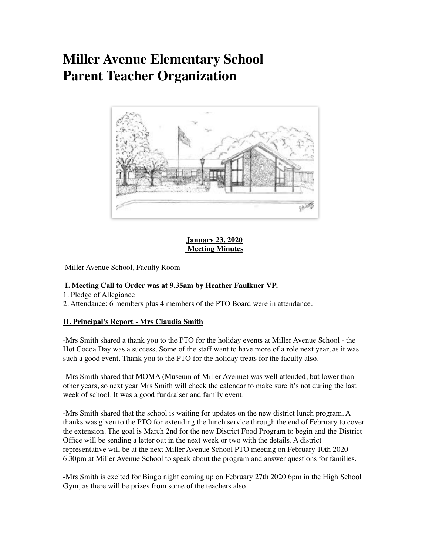# **Miller Avenue Elementary School Parent Teacher Organization**



**January 23, 2020 Meeting Minutes**

Miller Avenue School, Faculty Room

## **I. Meeting Call to Order was at 9.35am by Heather Faulkner VP.**

1. Pledge of Allegiance

2. Attendance: 6 members plus 4 members of the PTO Board were in attendance.

#### **II. Principal's Report - Mrs Claudia Smith**

-Mrs Smith shared a thank you to the PTO for the holiday events at Miller Avenue School - the Hot Cocoa Day was a success. Some of the staff want to have more of a role next year, as it was such a good event. Thank you to the PTO for the holiday treats for the faculty also.

-Mrs Smith shared that MOMA (Museum of Miller Avenue) was well attended, but lower than other years, so next year Mrs Smith will check the calendar to make sure it's not during the last week of school. It was a good fundraiser and family event.

-Mrs Smith shared that the school is waiting for updates on the new district lunch program. A thanks was given to the PTO for extending the lunch service through the end of February to cover the extension. The goal is March 2nd for the new District Food Program to begin and the District Office will be sending a letter out in the next week or two with the details. A district representative will be at the next Miller Avenue School PTO meeting on February 10th 2020 6.30pm at Miller Avenue School to speak about the program and answer questions for families.

-Mrs Smith is excited for Bingo night coming up on February 27th 2020 6pm in the High School Gym, as there will be prizes from some of the teachers also.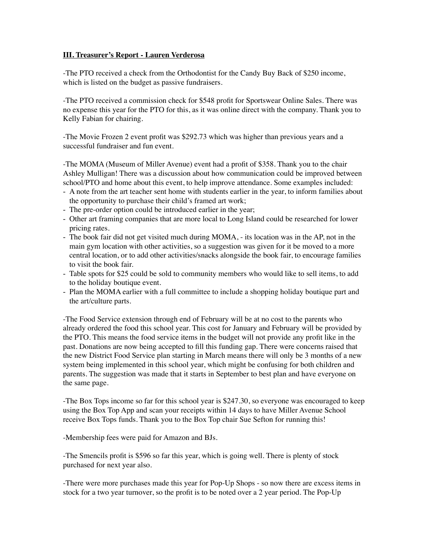#### **III. Treasurer's Report - Lauren Verderosa**

-The PTO received a check from the Orthodontist for the Candy Buy Back of \$250 income, which is listed on the budget as passive fundraisers.

-The PTO received a commission check for \$548 profit for Sportswear Online Sales. There was no expense this year for the PTO for this, as it was online direct with the company. Thank you to Kelly Fabian for chairing.

-The Movie Frozen 2 event profit was \$292.73 which was higher than previous years and a successful fundraiser and fun event.

-The MOMA (Museum of Miller Avenue) event had a profit of \$358. Thank you to the chair Ashley Mulligan! There was a discussion about how communication could be improved between school/PTO and home about this event, to help improve attendance. Some examples included:

- A note from the art teacher sent home with students earlier in the year, to inform families about the opportunity to purchase their child's framed art work;
- The pre-order option could be introduced earlier in the year;
- Other art framing companies that are more local to Long Island could be researched for lower pricing rates.
- The book fair did not get visited much during MOMA, its location was in the AP, not in the main gym location with other activities, so a suggestion was given for it be moved to a more central location, or to add other activities/snacks alongside the book fair, to encourage families to visit the book fair.
- Table spots for \$25 could be sold to community members who would like to sell items, to add to the holiday boutique event.
- Plan the MOMA earlier with a full committee to include a shopping holiday boutique part and the art/culture parts.

-The Food Service extension through end of February will be at no cost to the parents who already ordered the food this school year. This cost for January and February will be provided by the PTO. This means the food service items in the budget will not provide any profit like in the past. Donations are now being accepted to fill this funding gap. There were concerns raised that the new District Food Service plan starting in March means there will only be 3 months of a new system being implemented in this school year, which might be confusing for both children and parents. The suggestion was made that it starts in September to best plan and have everyone on the same page.

-The Box Tops income so far for this school year is \$247.30, so everyone was encouraged to keep using the Box Top App and scan your receipts within 14 days to have Miller Avenue School receive Box Tops funds. Thank you to the Box Top chair Sue Sefton for running this!

-Membership fees were paid for Amazon and BJs.

-The Smencils profit is \$596 so far this year, which is going well. There is plenty of stock purchased for next year also.

-There were more purchases made this year for Pop-Up Shops - so now there are excess items in stock for a two year turnover, so the profit is to be noted over a 2 year period. The Pop-Up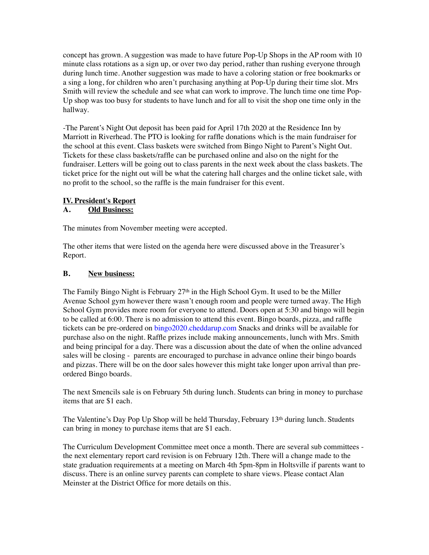concept has grown. A suggestion was made to have future Pop-Up Shops in the AP room with 10 minute class rotations as a sign up, or over two day period, rather than rushing everyone through during lunch time. Another suggestion was made to have a coloring station or free bookmarks or a sing a long, for children who aren't purchasing anything at Pop-Up during their time slot. Mrs Smith will review the schedule and see what can work to improve. The lunch time one time Pop-Up shop was too busy for students to have lunch and for all to visit the shop one time only in the hallway.

-The Parent's Night Out deposit has been paid for April 17th 2020 at the Residence Inn by Marriott in Riverhead. The PTO is looking for raffle donations which is the main fundraiser for the school at this event. Class baskets were switched from Bingo Night to Parent's Night Out. Tickets for these class baskets/raffle can be purchased online and also on the night for the fundraiser. Letters will be going out to class parents in the next week about the class baskets. The ticket price for the night out will be what the catering hall charges and the online ticket sale, with no profit to the school, so the raffle is the main fundraiser for this event.

# **IV. President's Report**

## **A. Old Business:**

The minutes from November meeting were accepted.

The other items that were listed on the agenda here were discussed above in the Treasurer's Report.

#### **B. New business:**

The Family Bingo Night is February  $27<sup>th</sup>$  in the High School Gym. It used to be the Miller Avenue School gym however there wasn't enough room and people were turned away. The High School Gym provides more room for everyone to attend. Doors open at 5:30 and bingo will begin to be called at 6:00. There is no admission to attend this event. Bingo boards, pizza, and raffle tickets can be pre-ordered on [bingo2020.cheddarup.com](http://bingo2020.cheddarup.com) Snacks and drinks will be available for purchase also on the night. Raffle prizes include making announcements, lunch with Mrs. Smith and being principal for a day. There was a discussion about the date of when the online advanced sales will be closing - parents are encouraged to purchase in advance online their bingo boards and pizzas. There will be on the door sales however this might take longer upon arrival than preordered Bingo boards.

The next Smencils sale is on February 5th during lunch. Students can bring in money to purchase items that are \$1 each.

The Valentine's Day Pop Up Shop will be held Thursday, February 13th during lunch. Students can bring in money to purchase items that are \$1 each.

The Curriculum Development Committee meet once a month. There are several sub committees the next elementary report card revision is on February 12th. There will a change made to the state graduation requirements at a meeting on March 4th 5pm-8pm in Holtsville if parents want to discuss. There is an online survey parents can complete to share views. Please contact Alan Meinster at the District Office for more details on this.